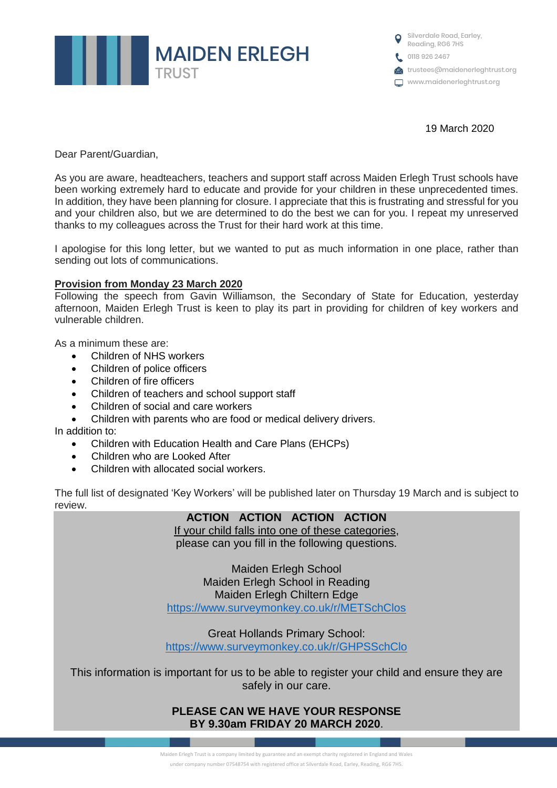

**O** Silverdale Road, Earley, Reading, RG6 7HS 0118 926 2467 trustees@maidenerleghtrust.org www.maidenerleghtrust.org

19 March 2020

Dear Parent/Guardian,

As you are aware, headteachers, teachers and support staff across Maiden Erlegh Trust schools have been working extremely hard to educate and provide for your children in these unprecedented times. In addition, they have been planning for closure. I appreciate that this is frustrating and stressful for you and your children also, but we are determined to do the best we can for you. I repeat my unreserved thanks to my colleagues across the Trust for their hard work at this time.

I apologise for this long letter, but we wanted to put as much information in one place, rather than sending out lots of communications.

### **Provision from Monday 23 March 2020**

Following the speech from Gavin Williamson, the Secondary of State for Education, yesterday afternoon, Maiden Erlegh Trust is keen to play its part in providing for children of key workers and vulnerable children.

As a minimum these are:

- Children of NHS workers
- Children of police officers
- Children of fire officers
- Children of teachers and school support staff
- Children of social and care workers
- Children with parents who are food or medical delivery drivers.

In addition to:

- Children with Education Health and Care Plans (EHCPs)
- Children who are Looked After
- Children with allocated social workers.

The full list of designated 'Key Workers' will be published later on Thursday 19 March and is subject to review.

| <b>ACTION ACTION ACTION ACTION</b>                |
|---------------------------------------------------|
| If your child falls into one of these categories, |
| please can you fill in the following questions.   |
|                                                   |
| <b>Maiden Erlegh School</b>                       |
| Maiden Erlegh School in Reading                   |
| Maiden Erlegh Chiltern Edge                       |
| https://www.surveymonkey.co.uk/r/METSchClos       |
|                                                   |

Great Hollands Primary School: <https://www.surveymonkey.co.uk/r/GHPSSchClo>

This information is important for us to be able to register your child and ensure they are safely in our care.

# **PLEASE CAN WE HAVE YOUR RESPONSE BY 9.30am FRIDAY 20 MARCH 2020**.